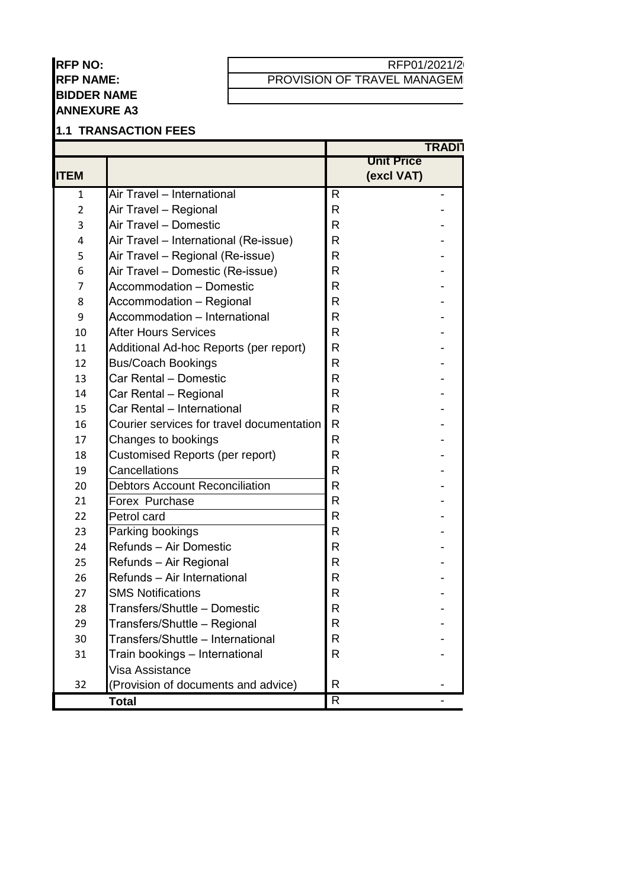### **RFP NO: RFP NAME: BIDDER NAME ANNEXURE A3**

### RFP01/2021/2 PROVISION OF TRAVEL MANAGEM

#### **1.1 TRANSACTION FEES**

|                |                                           |                | <b>TRADI1</b>     |
|----------------|-------------------------------------------|----------------|-------------------|
|                |                                           |                | <b>Unit Price</b> |
| <b>ITEM</b>    |                                           |                | (excl VAT)        |
| $\mathbf{1}$   | Air Travel - International                | R              |                   |
| $\overline{2}$ | Air Travel - Regional                     | R              |                   |
| 3              | Air Travel - Domestic                     | R              |                   |
| 4              | Air Travel - International (Re-issue)     | R              |                   |
| 5              | Air Travel – Regional (Re-issue)          | R              |                   |
| 6              | Air Travel - Domestic (Re-issue)          | R              |                   |
| $\overline{7}$ | <b>Accommodation - Domestic</b>           | R              |                   |
| 8              | Accommodation - Regional                  | R              |                   |
| 9              | Accommodation - International             | R              |                   |
| 10             | <b>After Hours Services</b>               | R              |                   |
| 11             | Additional Ad-hoc Reports (per report)    | R              |                   |
| 12             | <b>Bus/Coach Bookings</b>                 | R              |                   |
| 13             | Car Rental - Domestic                     | R              |                   |
| 14             | Car Rental - Regional                     | R              |                   |
| 15             | Car Rental - International                | R              |                   |
| 16             | Courier services for travel documentation | $\mathsf{R}$   |                   |
| 17             | Changes to bookings                       | R              |                   |
| 18             | <b>Customised Reports (per report)</b>    | R              |                   |
| 19             | Cancellations                             | R              |                   |
| 20             | <b>Debtors Account Reconciliation</b>     | R              |                   |
| 21             | Forex Purchase                            | R              |                   |
| 22             | Petrol card                               | $\mathsf{R}$   |                   |
| 23             | Parking bookings                          | R              |                   |
| 24             | Refunds - Air Domestic                    | R              |                   |
| 25             | Refunds - Air Regional                    | R              |                   |
| 26             | Refunds - Air International               | R              |                   |
| 27             | <b>SMS Notifications</b>                  | R              |                   |
| 28             | Transfers/Shuttle - Domestic              | R              |                   |
| 29             | Transfers/Shuttle - Regional              | R              |                   |
| 30             | Transfers/Shuttle - International         | R              |                   |
| 31             | Train bookings - International            | $\mathsf{R}$   |                   |
|                | Visa Assistance                           |                |                   |
| 32             | (Provision of documents and advice)       | R.             |                   |
|                | <b>Total</b>                              | $\overline{R}$ |                   |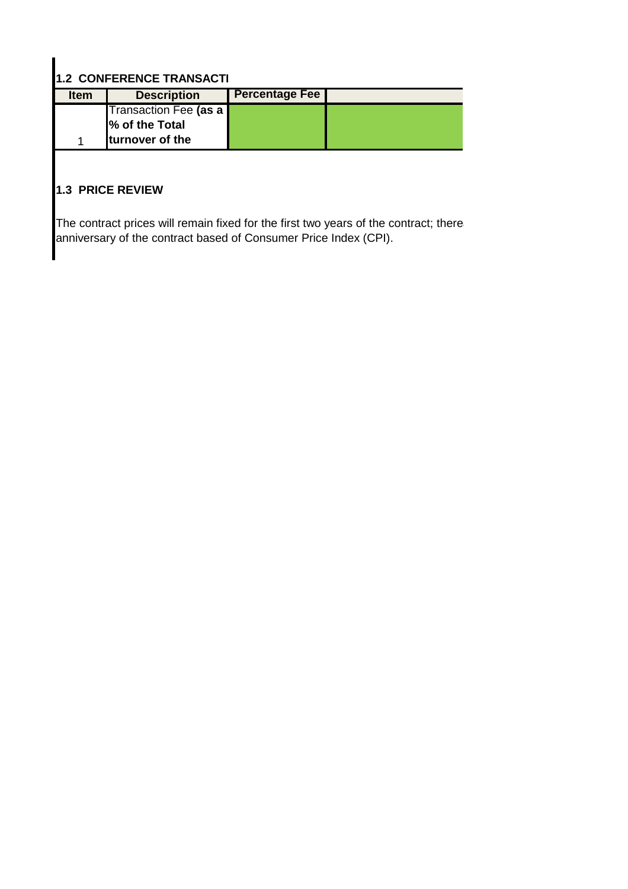# **1.2 CONFERENCE TRANSACTI**

| <b>Item</b> | <b>Description</b>      | <b>Percentage Fee</b> |  |
|-------------|-------------------------|-----------------------|--|
|             | Transaction Fee (as a   |                       |  |
|             | % of the Total          |                       |  |
|             | <b>Iturnover of the</b> |                       |  |

## **1.3 PRICE REVIEW**

The contract prices will remain fixed for the first two years of the contract; there anniversary of the contract based of Consumer Price Index (CPI).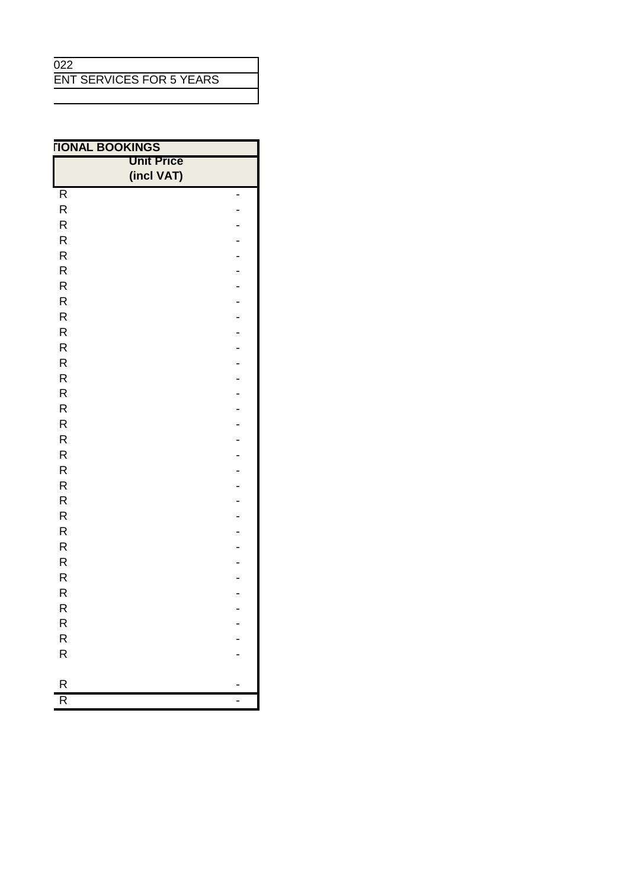### $\overline{022}$

ENT SERVICES FOR 5 YEARS

| <b>TIONAL BOOKINGS</b>  |                   |   |
|-------------------------|-------------------|---|
|                         | <b>Unit Price</b> |   |
|                         | (incl VAT)        |   |
| R                       |                   | - |
| $\mathsf R$             |                   |   |
| $\mathsf R$             |                   |   |
| $\mathsf R$             |                   |   |
| $\mathsf R$             |                   |   |
| $\mathsf R$             |                   |   |
| $\mathsf R$             |                   |   |
| $\mathsf R$             |                   |   |
| $\mathsf R$             |                   |   |
| $\mathsf R$             |                   |   |
| $\mathsf R$             |                   |   |
| $\mathsf R$             |                   |   |
| $\mathsf R$             |                   |   |
| ${\sf R}$               |                   |   |
| $\mathsf R$             |                   |   |
| $\mathsf R$             |                   |   |
| $\mathsf R$             |                   |   |
| $\mathsf R$             |                   |   |
| $\mathsf R$             |                   |   |
| $\mathsf R$             |                   |   |
| ${\sf R}$               |                   |   |
| $\mathsf R$             |                   |   |
| $\mathsf R$             |                   |   |
| $\mathsf R$             |                   |   |
| $\mathsf R$             |                   |   |
| ${\sf R}$               |                   |   |
| R                       |                   |   |
| R                       |                   |   |
| R                       |                   |   |
| $\mathsf{R}% _{T}$      |                   |   |
| $\overline{\mathsf{R}}$ |                   |   |
|                         |                   |   |
| R                       |                   |   |
| R                       |                   | - |